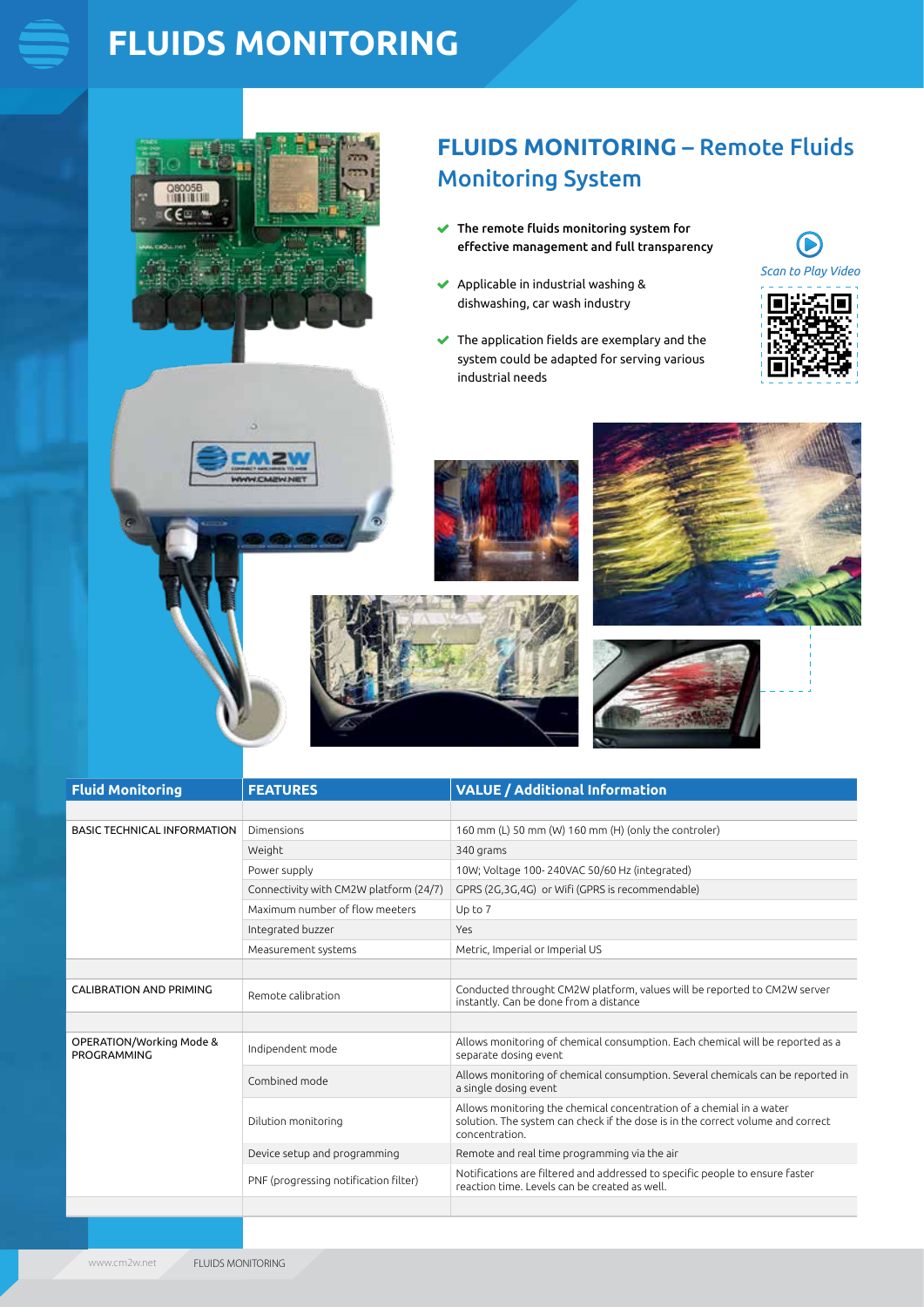# **FLUIDS MONITORING**



## **FLUIDS MONITORING** – Remote Fluids Monitoring System

- $\blacktriangleright$  The remote fluids monitoring system for effective management and full transparency
- $\blacktriangleright$  Applicable in industrial washing & dishwashing, car wash industry
- $\blacktriangleright$  The application fields are exemplary and the system could be adapted for serving various industrial needs













| <b>Fluid Monitoring</b>                 | <b>FEATURES</b>                        | <b>VALUE / Additional Information</b>                                                                                                                                    |
|-----------------------------------------|----------------------------------------|--------------------------------------------------------------------------------------------------------------------------------------------------------------------------|
|                                         |                                        |                                                                                                                                                                          |
| <b>BASIC TECHNICAL INFORMATION</b>      | Dimensions                             | 160 mm (L) 50 mm (W) 160 mm (H) (only the controler)                                                                                                                     |
|                                         | Weight                                 | 340 grams                                                                                                                                                                |
|                                         | Power supply                           | 10W; Voltage 100-240VAC 50/60 Hz (integrated)                                                                                                                            |
|                                         | Connectivity with CM2W platform (24/7) | GPRS (2G,3G,4G) or Wifi (GPRS is recommendable)                                                                                                                          |
|                                         | Maximum number of flow meeters         | Up to 7                                                                                                                                                                  |
|                                         | Integrated buzzer                      | Yes                                                                                                                                                                      |
|                                         | Measurement systems                    | Metric, Imperial or Imperial US                                                                                                                                          |
|                                         |                                        |                                                                                                                                                                          |
| <b>CALIBRATION AND PRIMING</b>          | Remote calibration                     | Conducted throught CM2W platform, values will be reported to CM2W server<br>instantly. Can be done from a distance                                                       |
|                                         |                                        |                                                                                                                                                                          |
| OPERATION/Working Mode &<br>PROGRAMMING | Indipendent mode                       | Allows monitoring of chemical consumption. Each chemical will be reported as a<br>separate dosing event                                                                  |
|                                         | Combined mode                          | Allows monitoring of chemical consumption. Several chemicals can be reported in<br>a single dosing event                                                                 |
|                                         | Dilution monitoring                    | Allows monitoring the chemical concentration of a chemial in a water<br>solution. The system can check if the dose is in the correct volume and correct<br>concentration |
|                                         | Device setup and programming           | Remote and real time programming via the air                                                                                                                             |
|                                         | PNF (progressing notification filter)  | Notifications are filtered and addressed to specific people to ensure faster<br>reaction time. Levels can be created as well.                                            |
|                                         |                                        |                                                                                                                                                                          |